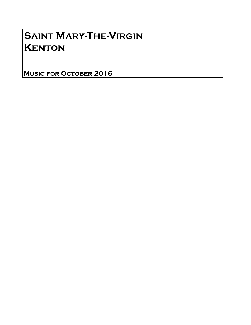# Saint Mary-The-Virgin **KENTON**

Music for October 2016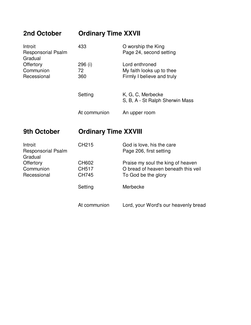# **2nd October Ordinary Time XXVII**

| Introit<br><b>Responsorial Psalm</b><br>Gradual | 433          | O worship the King<br>Page 24, second setting        |
|-------------------------------------------------|--------------|------------------------------------------------------|
| Offertory                                       | 296 (i)      | Lord enthroned                                       |
| Communion                                       | 72           | My faith looks up to thee                            |
| Recessional                                     | 360          | Firmly I believe and truly                           |
|                                                 | Setting      | K, G, C, Merbecke<br>S, B, A - St Ralph Sherwin Mass |
|                                                 | At communion | An upper room                                        |

### **9th October Ordinary Time XXVIII**

| Introit<br><b>Responsorial Psalm</b><br>Gradual | CH <sub>215</sub> | God is love, his the care<br>Page 206, first setting |
|-------------------------------------------------|-------------------|------------------------------------------------------|
| Offertory                                       | CH602             | Praise my soul the king of heaven                    |
| Communion                                       | <b>CH517</b>      | O bread of heaven beneath this veil                  |
| Recessional                                     | <b>CH745</b>      | To God be the glory                                  |
|                                                 | Setting           | Merbecke                                             |
|                                                 | At communion      | Lord, your Word's our heavenly bread                 |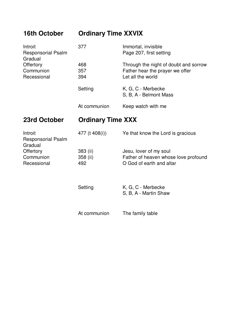# **16th October Ordinary Time XXVIX**

| Introit<br><b>Responsorial Psalm</b> | 377          | Immortal, invisible<br>Page 207, first setting |
|--------------------------------------|--------------|------------------------------------------------|
| Gradual                              |              |                                                |
| Offertory                            | 468          | Through the night of doubt and sorrow          |
| Communion                            | 357          | Father hear the prayer we offer                |
| Recessional                          | 394          | Let all the world                              |
|                                      | Setting      | K, G, C - Merbecke                             |
|                                      |              | S, B, A - Belmont Mass                         |
|                                      | At communion | Keep watch with me                             |

# **23rd October Ordinary Time XXX**

| Introit<br><b>Responsorial Psalm</b><br>Gradual | 477 (t 408(i)) | Ye that know the Lord is gracious           |
|-------------------------------------------------|----------------|---------------------------------------------|
| Offertory                                       | 383 (ii)       | Jesu, lover of my soul                      |
| Communion                                       | 358 (ii)       | Father of heaven whose love profound        |
| Recessional                                     | 492            | O God of earth and altar                    |
|                                                 | Setting        | K, G, C - Merbecke<br>S, B, A - Martin Shaw |
|                                                 | At communion   | The family table                            |